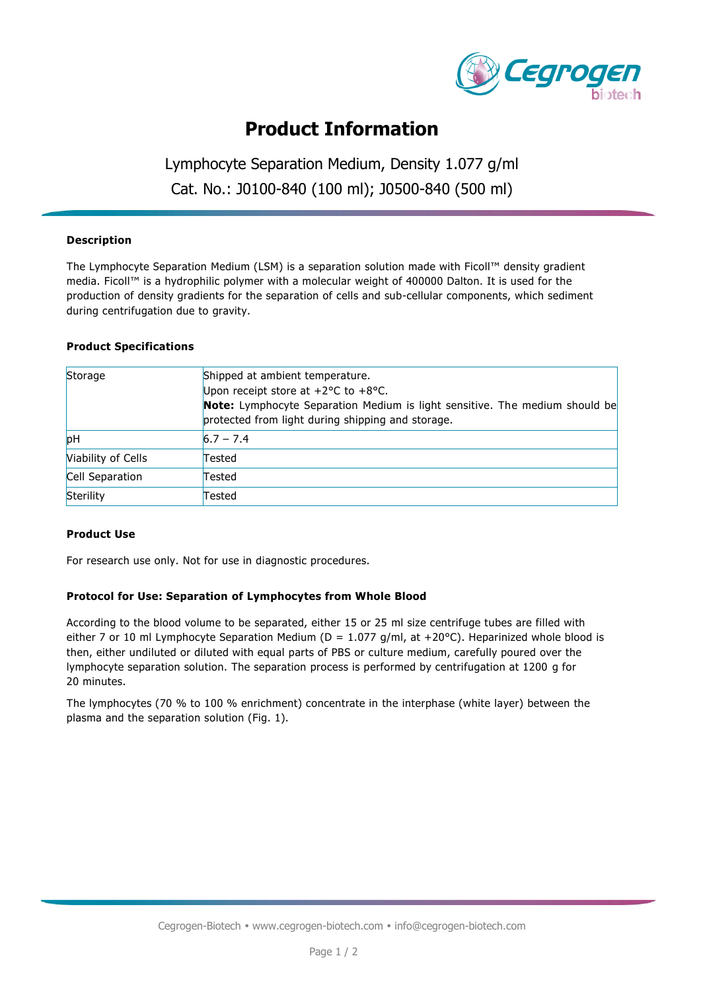

## **Product Information**

## Lymphocyte Separation Medium, Density 1.077 g/ml Cat. No.: J0100-840 (100 ml); J0500-840 (500 ml)

### **Description**

The Lymphocyte Separation Medium (LSM) is a separation solution made with Ficoll™ density gradient media. Ficoll™ is a hydrophilic polymer with a molecular weight of 400000 Dalton. It is used for the production of density gradients for the separation of cells and sub-cellular components, which sediment during centrifugation due to gravity.

#### **Product Specifications**

| Storage            | Shipped at ambient temperature.                                             |
|--------------------|-----------------------------------------------------------------------------|
|                    | Upon receipt store at $+2$ °C to $+8$ °C.                                   |
|                    | Note: Lymphocyte Separation Medium is light sensitive. The medium should be |
|                    | protected from light during shipping and storage.                           |
| pH                 | $6.7 - 7.4$                                                                 |
| Viability of Cells | Tested                                                                      |
| Cell Separation    | Tested                                                                      |
| Sterility          | Tested                                                                      |

#### **Product Use**

For research use only. Not for use in diagnostic procedures.

#### **Protocol for Use: Separation of Lymphocytes from Whole Blood**

According to the blood volume to be separated, either 15 or 25 ml size centrifuge tubes are filled with either 7 or 10 ml Lymphocyte Separation Medium ( $D = 1.077$  g/ml, at +20°C). Heparinized whole blood is then, either undiluted or diluted with equal parts of PBS or culture medium, carefully poured over the lymphocyte separation solution. The separation process is performed by centrifugation at 1200 g for 20 minutes.

The lymphocytes (70 % to 100 % enrichment) concentrate in the interphase (white layer) between the plasma and the separation solution (Fig. 1).